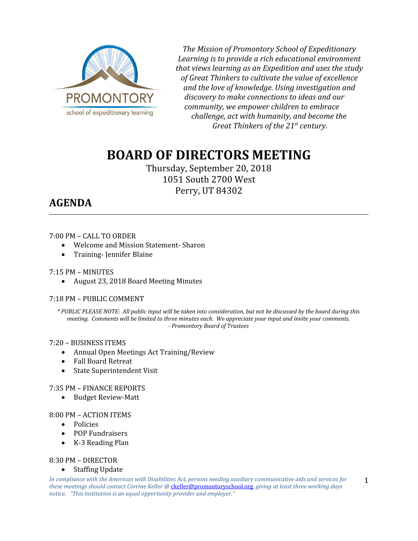

*The Mission of Promontory School of Expeditionary Learning is to provide a rich educational environment that views learning as an Expedition and uses the study of Great Thinkers to cultivate the value of excellence and the love of knowledge. Using investigation and discovery to make connections to ideas and our community, we empower children to embrace challenge, act with humanity, and become the Great Thinkers of the 21st century.*

# **BOARD OF DIRECTORS MEETING**

Thursday, September 20, 2018 1051 South 2700 West Perry, UT 84302

# **AGENDA**

## 7:00 PM – CALL TO ORDER

- Welcome and Mission Statement- Sharon
- Training- Jennifer Blaine

## 7:15 PM – MINUTES

August 23, 2018 Board Meeting Minutes

## 7:18 PM – PUBLIC COMMENT

*\* PUBLIC PLEASE NOTE: All public input will be taken into consideration, but not be discussed by the board during this meeting. Comments will be limited to three minutes each. We appreciate your input and invite your comments. - Promontory Board of Trustees*

## 7:20 – BUSINESS ITEMS

- Annual Open Meetings Act Training/Review
- Fall Board Retreat
- State Superintendent Visit

## 7:35 PM – FINANCE REPORTS

• Budget Review-Matt

## 8:00 PM – ACTION ITEMS

- Policies
- POP Fundraisers
- K-3 Reading Plan

#### 8:30 PM – DIRECTOR

#### • Staffing Update

*In compliance with the American with Disabilities Act, persons needing auxiliary communicative aids and services for these meetings should contact Corrine Keller @* [ckeller@promontoryschool.org](mailto:ckeller@promontoryschool.org)*, giving at least three working days notice. "This institution is an equal opportunity provider and employer."*

1